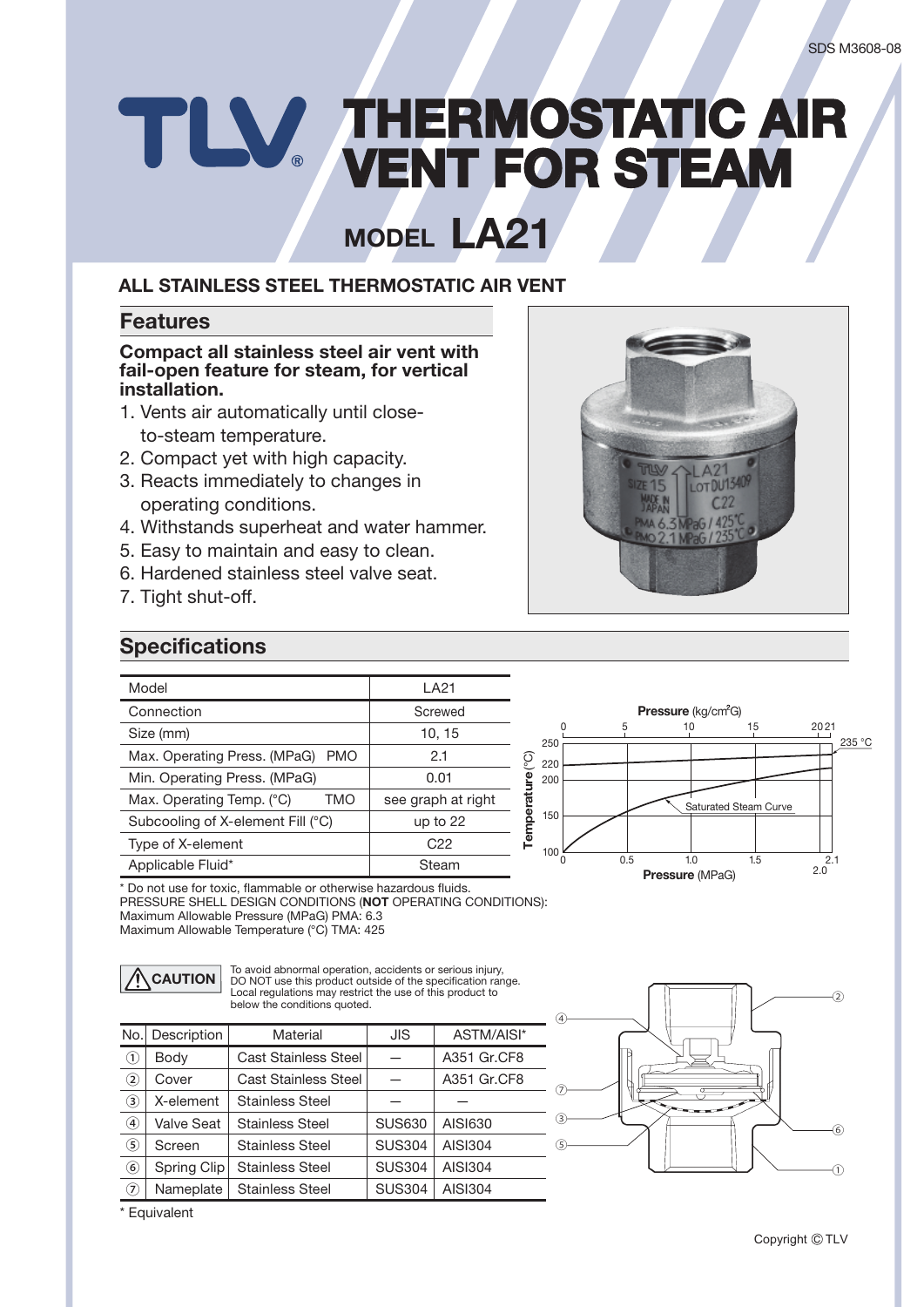## **THERMOSTATIC AIR**<br> **HERMOSTATIC AIR**<br> **HERMOSTATIC AIR**

**MODEL LA21** 

#### **ALL STAINLESS STEEL THERMOSTATIC AIR VENT ALL STAINLESS STEEL THERMOSTATIC AIR VENT MODEL**

#### **Features**

#### fail-open feature for steam, for vertical **installation. Compact all stainless steel air vent with**

- 1. Vents air automatically until closeto-steam temperature.
- 2. Compact yet with high capacity.
- 3. Reacts immediately to changes in operating conditions.
- 4. Withstands superheat and water hammer.
- 5. Easy to maintain and easy to clean.
- 6. Hardened stainless steel valve seat.
- 7. Tight shut-off.

# LOT DU1340

#### **Specifications**

| Model                                      | I A <sub>21</sub>  |
|--------------------------------------------|--------------------|
| Connection                                 | Screwed            |
| Size (mm)                                  | 10, 15             |
| Max. Operating Press. (MPaG)<br><b>PMO</b> | 2.1                |
| Min. Operating Press. (MPaG)               | 0.01               |
| TMO<br>Max. Operating Temp. (°C)           | see graph at right |
| Subcooling of X-element Fill (°C)          | up to $22$         |
| Type of X-element                          | C22                |
| Applicable Fluid*                          | Steam              |



\* Do not use for toxic, flammable or otherwise hazardous fluids. PRESSURE SHELL DESIGN CONDITIONS (**NOT** OPERATING CONDITIONS): Maximum Allowable Pressure (MPaG) PMA: 6.3 Maximum Allowable Temperature (°C) TMA: 425

**CAUTION** To avoid abnormal operation, accidents or serious injury,<br>
DO NOT use this product outside of the specification range.<br>
Local requlations may restrict the use of this product to Local regulations may restrict the use of this product to below the conditions quoted.

| No.              | Description | Material                    | <b>JIS</b>    | ASTM/AISI*  |
|------------------|-------------|-----------------------------|---------------|-------------|
| $\odot$          | Body        | <b>Cast Stainless Steel</b> |               | A351 Gr.CF8 |
| $^\mathrm{(2)}$  | Cover       | <b>Cast Stainless Steel</b> |               | A351 Gr.CF8 |
| 3)               | X-element   | <b>Stainless Steel</b>      |               |             |
| $\bf{a})$        | Valve Seat  | <b>Stainless Steel</b>      | <b>SUS630</b> | AISI630     |
| (5)              | Screen      | <b>Stainless Steel</b>      | <b>SUS304</b> | AISI304     |
| $_{\circledast}$ | Spring Clip | <b>Stainless Steel</b>      | <b>SUS304</b> | AISI304     |
| の                | Nameplate   | <b>Stainless Steel</b>      | <b>SUS304</b> | AISI304     |



\* Equivalent